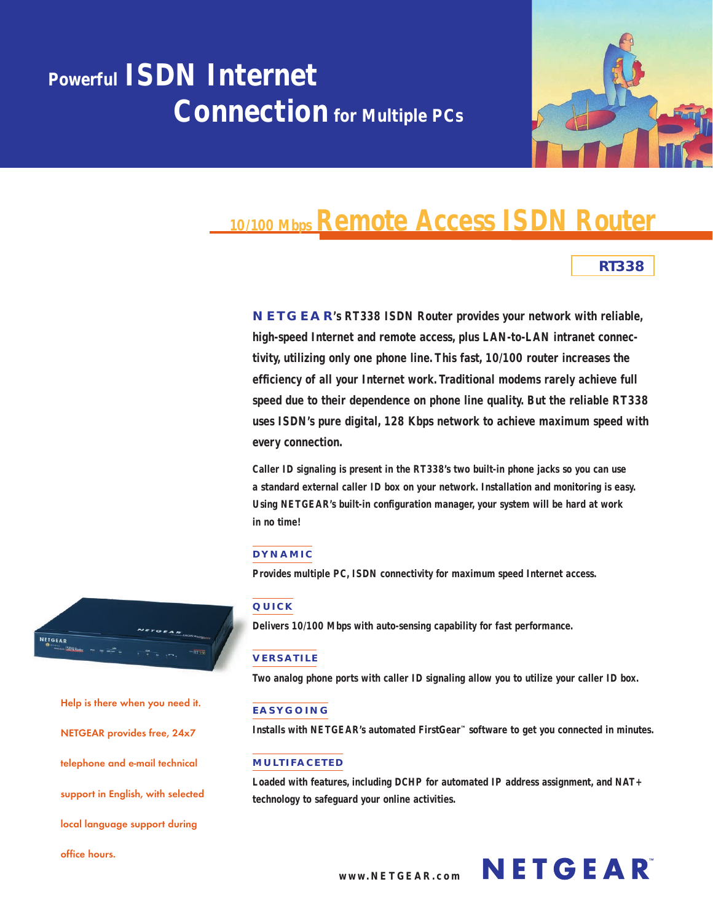# **Powerful ISDN Internet Connection for Multiple PCs**



## **10/100 Mbps Remote Access ISDN Router**

### **RT338**

**NETGEAR's RT338 ISDN Router provides your network with reliable, high-speed Internet and remote access, plus LAN-to-LAN intranet connectivity, utilizing only one phone line. This fast, 10/100 router increases the efficiency of all your Internet work. Traditional modems rarely achieve full speed due to their dependence on phone line quality. But the reliable RT338 uses ISDN's pure digital, 128 Kbps network to achieve maximum speed with every connection.**

**Caller ID signaling is present in the RT338's two built-in phone jacks so you can use a standard external caller ID box on your network. Installation and monitoring is easy. Using NETGEAR's built-in configuration manager, your system will be hard at work in no time!**

#### **DYNAMIC**

**Provides multiple PC, ISDN connectivity for maximum speed Internet access.**

#### **QUICK**

**Delivers 10/100 Mbps with auto-sensing capability for fast performance.**

#### **VERSATILE**

**Two analog phone ports with caller ID signaling allow you to utilize your caller ID box.**

#### **EASYGOING**

**Installs with NETGEAR's automated FirstGear™ software to get you connected in minutes.**

#### **MULTIFACETED**

**Loaded with features, including DCHP for automated IP address assignment, and NAT+ technology to safeguard your online activities.**



**Help is there when you need it. NETGEAR provides free, 24x7 telephone and e-mail technical support in English, with selected local language support during office hours.**



**www.NETGEAR.com**